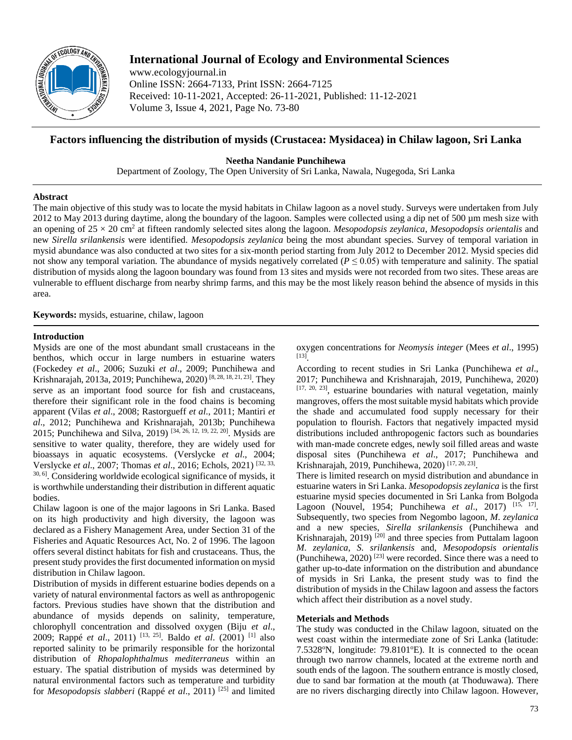

# **International Journal of Ecology and Environmental Sciences**

www.ecologyjournal.in Online ISSN: 2664-7133, Print ISSN: 2664-7125 Received: 10-11-2021, Accepted: 26-11-2021, Published: 11-12-2021 Volume 3, Issue 4, 2021, Page No. 73-80

## **Factors influencing the distribution of mysids (Crustacea: Mysidacea) in Chilaw lagoon, Sri Lanka**

**Neetha Nandanie Punchihewa**

Department of Zoology, The Open University of Sri Lanka, Nawala, Nugegoda, Sri Lanka

## **Abstract**

The main objective of this study was to locate the mysid habitats in Chilaw lagoon as a novel study. Surveys were undertaken from July 2012 to May 2013 during daytime, along the boundary of the lagoon. Samples were collected using a dip net of 500 µm mesh size with an opening of 25 × 20 cm2 at fifteen randomly selected sites along the lagoon. *Mesopodopsis zeylanica*, *Mesopodopsis orientalis* and new *Sirella srilankensis* were identified. *Mesopodopsis zeylanica* being the most abundant species. Survey of temporal variation in mysid abundance was also conducted at two sites for a six-month period starting from July 2012 to December 2012. Mysid species did not show any temporal variation. The abundance of mysids negatively correlated ( $P \le 0.05$ ) with temperature and salinity. The spatial distribution of mysids along the lagoon boundary was found from 13 sites and mysids were not recorded from two sites. These areas are vulnerable to effluent discharge from nearby shrimp farms, and this may be the most likely reason behind the absence of mysids in this area.

**Keywords:** mysids, estuarine, chilaw, lagoon

## **Introduction**

Mysids are one of the most abundant small crustaceans in the benthos, which occur in large numbers in estuarine waters (Fockedey *et al*., 2006; Suzuki *et al*., 2009; Punchihewa and Krishnarajah, 2013a, 2019; Punchihewa, 2020)<sup>[8, 28, 18, 21, 23]</sup>. They serve as an important food source for fish and crustaceans, therefore their significant role in the food chains is becoming apparent (Vilas *et al*., 2008; Rastorgueff *et al*., 2011; Mantiri *et al*., 2012; Punchihewa and Krishnarajah, 2013b; Punchihewa 2015; Punchihewa and Silva, 2019)<sup>[34, 26, 12, 19, 22, 20]</sup>. Mysids are sensitive to water quality, therefore, they are widely used for bioassays in aquatic ecosystems. (Verslycke *et al*., 2004; Verslycke *et al*., 2007; Thomas *et al*., 2016; Echols, 2021) [32, 33, 30, 6] . Considering worldwide ecological significance of mysids, it is worthwhile understanding their distribution in different aquatic bodies.

Chilaw lagoon is one of the major lagoons in Sri Lanka. Based on its high productivity and high diversity, the lagoon was declared as a Fishery Management Area, under Section 31 of the Fisheries and Aquatic Resources Act, No. 2 of 1996. The lagoon offers several distinct habitats for fish and crustaceans. Thus, the present study provides the first documented information on mysid distribution in Chilaw lagoon.

Distribution of mysids in different estuarine bodies depends on a variety of natural environmental factors as well as anthropogenic factors. Previous studies have shown that the distribution and abundance of mysids depends on salinity, temperature, chlorophyll concentration and dissolved oxygen (Biju *et al*., 2009; Rappé *et al*., 2011) [13, 25] . Baldo *et al*. (2001) [1] also reported salinity to be primarily responsible for the horizontal distribution of *Rhopalophthalmus mediterraneus* within an estuary. The spatial distribution of mysids was determined by natural environmental factors such as temperature and turbidity for *Mesopodopsis slabberi* (Rappé *et al*., 2011) [25] and limited

oxygen concentrations for *Neomysis integer* (Mees *et al*., 1995) [13] .

According to recent studies in Sri Lanka (Punchihewa *et al*., 2017; Punchihewa and Krishnarajah, 2019, Punchihewa, 2020)  $[17, 20, 23]$ , estuarine boundaries with natural vegetation, mainly mangroves, offers the most suitable mysid habitats which provide the shade and accumulated food supply necessary for their population to flourish. Factors that negatively impacted mysid distributions included anthropogenic factors such as boundaries with man-made concrete edges, newly soil filled areas and waste disposal sites (Punchihewa *et al*., 2017; Punchihewa and Krishnarajah, 2019, Punchihewa, 2020)<sup>[17, 20, 23]</sup>.

There is limited research on mysid distribution and abundance in estuarine waters in Sri Lanka. *Mesopodopsis zeylanica* is the first estuarine mysid species documented in Sri Lanka from Bolgoda Lagoon (Nouvel, 1954; Punchihewa *et al.*, 2017) <sup>[15, 17]</sup>. Subsequently, two species from Negombo lagoon, *M*. *zeylanica* and a new species, *Sirella srilankensis* (Punchihewa and Krishnarajah, 2019) <sup>[20]</sup> and three species from Puttalam lagoon *M*. *zeylanica*, *S*. *srilankensis* and, *Mesopodopsis orientalis* (Punchihewa, 2020) [23] were recorded. Since there was a need to gather up-to-date information on the distribution and abundance of mysids in Sri Lanka, the present study was to find the distribution of mysids in the Chilaw lagoon and assess the factors which affect their distribution as a novel study.

## **Meterials and Methods**

The study was conducted in the Chilaw lagoon, situated on the west coast within the intermediate zone of Sri Lanka (latitude: 7.5328°N, longitude: 79.8101°E). It is connected to the ocean through two narrow channels, located at the extreme north and south ends of the lagoon. The southern entrance is mostly closed, due to sand bar formation at the mouth (at Thoduwawa). There are no rivers discharging directly into Chilaw lagoon. However,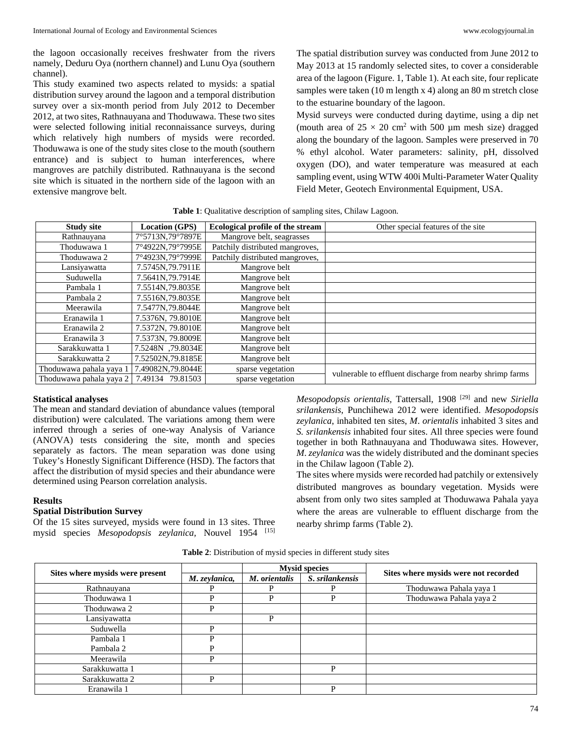the lagoon occasionally receives freshwater from the rivers namely, Deduru Oya (northern channel) and Lunu Oya (southern channel).

This study examined two aspects related to mysids: a spatial distribution survey around the lagoon and a temporal distribution survey over a six-month period from July 2012 to December 2012, at two sites, Rathnauyana and Thoduwawa. These two sites were selected following initial reconnaissance surveys, during which relatively high numbers of mysids were recorded. Thoduwawa is one of the study sites close to the mouth (southern entrance) and is subject to human interferences, where mangroves are patchily distributed. Rathnauyana is the second site which is situated in the northern side of the lagoon with an extensive mangrove belt.

The spatial distribution survey was conducted from June 2012 to May 2013 at 15 randomly selected sites, to cover a considerable area of the lagoon (Figure. 1, Table 1). At each site, four replicate samples were taken (10 m length x 4) along an 80 m stretch close to the estuarine boundary of the lagoon.

Mysid surveys were conducted during daytime, using a dip net (mouth area of  $25 \times 20$  cm<sup>2</sup> with 500 µm mesh size) dragged along the boundary of the lagoon. Samples were preserved in 70 % ethyl alcohol. Water parameters: salinity, pH, dissolved oxygen (DO), and water temperature was measured at each sampling event, using WTW 400i Multi-Parameter Water Quality Field Meter, Geotech Environmental Equipment, USA.

| <b>Study site</b>       | <b>Location (GPS)</b> | Ecological profile of the stream | Other special features of the site                        |
|-------------------------|-----------------------|----------------------------------|-----------------------------------------------------------|
| Rathnauyana             | 7°5713N,79°7897E      | Mangrove belt, seagrasses        |                                                           |
| Thoduwawa 1             | 7°4922N,79°7995E      | Patchily distributed mangroves,  |                                                           |
| Thoduwawa 2             | 7°4923N.79°7999E      | Patchily distributed mangroves,  |                                                           |
| Lansiyawatta            | 7.5745N, 79.7911E     | Mangrove belt                    |                                                           |
| Suduwella               | 7.5641N.79.7914E      | Mangrove belt                    |                                                           |
| Pambala 1               | 7.5514N.79.8035E      | Mangrove belt                    |                                                           |
| Pambala 2               | 7.5516N,79.8035E      | Mangrove belt                    |                                                           |
| Meerawila               | 7.5477N,79.8044E      | Mangrove belt                    |                                                           |
| Eranawila 1             | 7.5376N, 79.8010E     | Mangrove belt                    |                                                           |
| Eranawila 2             | 7.5372N, 79.8010E     | Mangrove belt                    |                                                           |
| Eranawila 3             | 7.5373N, 79.8009E     | Mangrove belt                    |                                                           |
| Sarakkuwatta 1          | 7.5248N ,79.8034E     | Mangrove belt                    |                                                           |
| Sarakkuwatta 2          | 7.52502N,79.8185E     | Mangrove belt                    |                                                           |
| Thoduwawa pahala yaya 1 | 7.49082N,79.8044E     | sparse vegetation                |                                                           |
| Thoduwawa pahala yaya 2 | 7.49134<br>79.81503   | sparse vegetation                | vulnerable to effluent discharge from nearby shrimp farms |

**Table 1**: Qualitative description of sampling sites, Chilaw Lagoon.

#### **Statistical analyses**

The mean and standard deviation of abundance values (temporal distribution) were calculated. The variations among them were inferred through a series of one-way Analysis of Variance (ANOVA) tests considering the site, month and species separately as factors. The mean separation was done using Tukey's Honestly Significant Difference (HSD). The factors that affect the distribution of mysid species and their abundance were determined using Pearson correlation analysis.

### **Results**

## **Spatial Distribution Survey**

Of the 15 sites surveyed, mysids were found in 13 sites. Three mysid species *Mesopodopsis zeylanica,* Nouvel 1954 [15] *Mesopodopsis orientalis,* Tattersall, 1908 [29] and new *Siriella srilankensis*, Punchihewa 2012 were identified. *Mesopodopsis zeylanica*, inhabited ten sites, *M*. *orientalis* inhabited 3 sites and *S. srilankensis* inhabited four sites. All three species were found together in both Rathnauyana and Thoduwawa sites. However, *M*. *zeylanica* was the widely distributed and the dominant species in the Chilaw lagoon (Table 2).

The sites where mysids were recorded had patchily or extensively distributed mangroves as boundary vegetation. Mysids were absent from only two sites sampled at Thoduwawa Pahala yaya where the areas are vulnerable to effluent discharge from the nearby shrimp farms (Table 2).

**Table 2**: Distribution of mysid species in different study sites

|                                 |               |               | <b>Mysid species</b> | Sites where mysids were not recorded |  |
|---------------------------------|---------------|---------------|----------------------|--------------------------------------|--|
| Sites where mysids were present | M. zeylanica, | M. orientalis | S. srilankensis      |                                      |  |
| Rathnauyana                     |               |               | D                    | Thoduwawa Pahala yaya 1              |  |
| Thoduwawa 1                     | P             | D             | P                    | Thoduwawa Pahala yaya 2              |  |
| Thoduwawa 2                     | P             |               |                      |                                      |  |
| Lansiyawatta                    |               |               |                      |                                      |  |
| Suduwella                       | P             |               |                      |                                      |  |
| Pambala 1                       | D             |               |                      |                                      |  |
| Pambala 2                       |               |               |                      |                                      |  |
| Meerawila                       | P             |               |                      |                                      |  |
| Sarakkuwatta 1                  |               |               | Þ                    |                                      |  |
| Sarakkuwatta 2                  | P             |               |                      |                                      |  |
| Eranawila 1                     |               |               | D                    |                                      |  |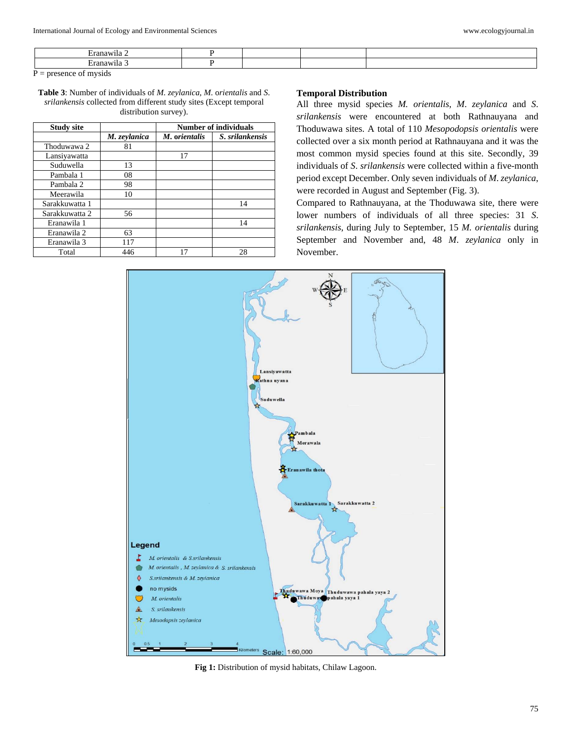| anawi<br>. |  |  |  |  |  |
|------------|--|--|--|--|--|
| anawi.     |  |  |  |  |  |
|            |  |  |  |  |  |

 $P =$  presence of mysids

**Table 3**: Number of individuals of *M. zeylanica, M*. o*rientalis* and *S*. *srilankensis* collected from different study sites (Except temporal distribution survey).

| <b>Study site</b> |              | <b>Number of individuals</b> |                 |  |
|-------------------|--------------|------------------------------|-----------------|--|
|                   | M. zeylanica | M. orientalis                | S. srilankensis |  |
| Thoduwawa 2       | 81           |                              |                 |  |
| Lansiyawatta      |              | 17                           |                 |  |
| Suduwella         | 13           |                              |                 |  |
| Pambala 1         | 08           |                              |                 |  |
| Pambala 2         | 98           |                              |                 |  |
| Meerawila         | 10           |                              |                 |  |
| Sarakkuwatta 1    |              |                              | 14              |  |
| Sarakkuwatta 2    | 56           |                              |                 |  |
| Eranawila 1       |              |                              | 14              |  |
| Eranawila 2       | 63           |                              |                 |  |
| Eranawila 3       | 117          |                              |                 |  |
| Total             | 446          | 17                           | 28              |  |

#### **Temporal Distribution**

All three mysid species *M. orientalis*, *M*. *zeylanica* and *S*. *srilankensis* were encountered at both Rathnauyana and Thoduwawa sites. A total of 110 *Mesopodopsis orientalis* were collected over a six month period at Rathnauyana and it was the most common mysid species found at this site. Secondly, 39 individuals of *S*. *srilankensis* were collected within a five-month period except December. Only seven individuals of *M*. *zeylanica*, were recorded in August and September (Fig. 3).

Compared to Rathnauyana, at the Thoduwawa site, there were lower numbers of individuals of all three species: 31 *S*. *srilankensis*, during July to September, 15 *M. orientalis* during September and November and, 48 *M*. *zeylanica* only in November.



**Fig 1:** Distribution of mysid habitats, Chilaw Lagoon.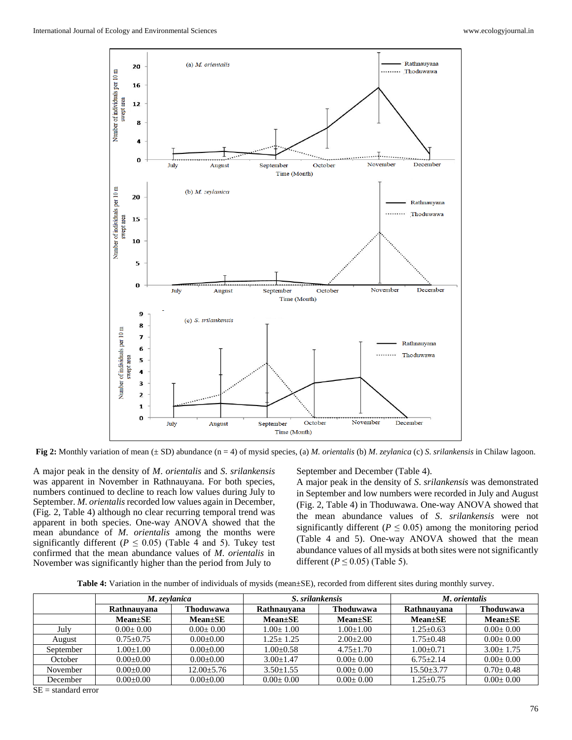

**Fig 2:** Monthly variation of mean (± SD) abundance (n = 4) of mysid species, (a) *M. orientalis* (b) *M*. *zeylanica* (c) *S*. *srilankensis* in Chilaw lagoon.

A major peak in the density of *M*. *orientalis* and *S*. *srilankensis*  was apparent in November in Rathnauyana. For both species, numbers continued to decline to reach low values during July to September. *M*. *orientalis* recorded low values again in December, (Fig. 2, Table 4) although no clear recurring temporal trend was apparent in both species. One-way ANOVA showed that the mean abundance of *M*. *orientalis* among the months were significantly different ( $P \le 0.05$ ) (Table 4 and 5). Tukey test confirmed that the mean abundance values of *M*. *orientalis* in November was significantly higher than the period from July to

September and December (Table 4).

A major peak in the density of *S*. *srilankensis* was demonstrated in September and low numbers were recorded in July and August (Fig. 2, Table 4) in Thoduwawa. One-way ANOVA showed that the mean abundance values of *S*. *srilankensis* were not significantly different ( $P \leq 0.05$ ) among the monitoring period (Table 4 and 5). One-way ANOVA showed that the mean abundance values of all mysids at both sites were not significantly different ( $P \leq 0.05$ ) (Table 5).

**Table 4:** Variation in the number of individuals of mysids (mean±SE), recorded from different sites during monthly survey.

|           | M. zevlanica    |                  | S. srilankensis |                 | M. orientalis    |                 |
|-----------|-----------------|------------------|-----------------|-----------------|------------------|-----------------|
|           | Rathnauvana     | <b>Thoduwawa</b> | Rathnauvana     | Thoduwawa       | Rathnauvana      | Thoduwawa       |
|           | $Mean \pm SE$   | $Mean \pm SE$    | $Mean \pm SE$   | $Mean \pm SE$   | $Mean \pm SE$    | $Mean \pm SE$   |
| July      | $0.00+0.00$     | $0.00+0.00$      | $1.00+1.00$     | $1.00 \pm 1.00$ | $1.25 \pm 0.63$  | $0.00+0.00$     |
| August    | $0.75 + 0.75$   | $0.00+0.00$      | $1.25 + 1.25$   | $2.00+2.00$     | $1.75 + 0.48$    | $0.00+0.00$     |
| September | $1.00+1.00$     | $0.00+0.00$      | $1.00+0.58$     | $4.75 \pm 1.70$ | $1.00+0.71$      | $3.00 + 1.75$   |
| October   | $0.00+0.00$     | $0.00+0.00$      | $3.00 + 1.47$   | $0.00+0.00$     | $6.75 + 2.14$    | $0.00 \pm 0.00$ |
| November  | $0.00+0.00$     | $12.00 \pm 5.76$ | $3.50 + 1.55$   | $0.00+0.00$     | $15.50 \pm 3.77$ | $0.70 \pm 0.48$ |
| December  | $0.00 \pm 0.00$ | $0.00 \pm 0.00$  | $0.00 \pm 0.00$ | $0.00 \pm 0.00$ | $1.25 \pm 0.75$  | $0.00 \pm 0.00$ |

SE = standard error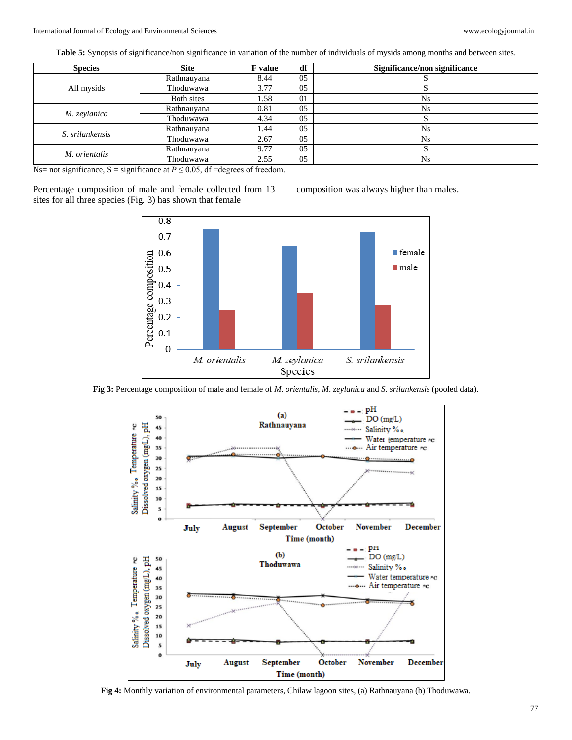**Table 5:** Synopsis of significance/non significance in variation of the number of individuals of mysids among months and between sites.

| <b>Species</b>  | <b>Site</b> | <b>F</b> value | df | Significance/non significance |
|-----------------|-------------|----------------|----|-------------------------------|
|                 | Rathnauyana | 8.44           | 05 |                               |
| All mysids      | Thoduwawa   | 3.77           | 05 |                               |
|                 | Both sites  | 1.58           | 01 | <b>Ns</b>                     |
|                 | Rathnauyana | 0.81           | 05 | Ns                            |
| M. zeylanica    | Thoduwawa   | 4.34           | 05 | د،                            |
| S. srilankensis | Rathnauyana | 1.44           | 05 | <b>Ns</b>                     |
|                 | Thoduwawa   | 2.67           | 05 | <b>Ns</b>                     |
| M. orientalis   | Rathnauyana | 9.77           | 05 | Ő                             |
|                 | Thoduwawa   | 2.55           | 05 | <b>Ns</b>                     |

Ns= not significance, S = significance at  $P \le 0.05$ , df =degrees of freedom.

Percentage composition of male and female collected from 13 sites for all three species (Fig. 3) has shown that female



**Fig 3:** Percentage composition of male and female of *M*. *orientalis*, *M*. *zeylanica* and *S*. *srilankensis* (pooled data).



**Fig 4:** Monthly variation of environmental parameters, Chilaw lagoon sites, (a) Rathnauyana (b) Thoduwawa.

composition was always higher than males.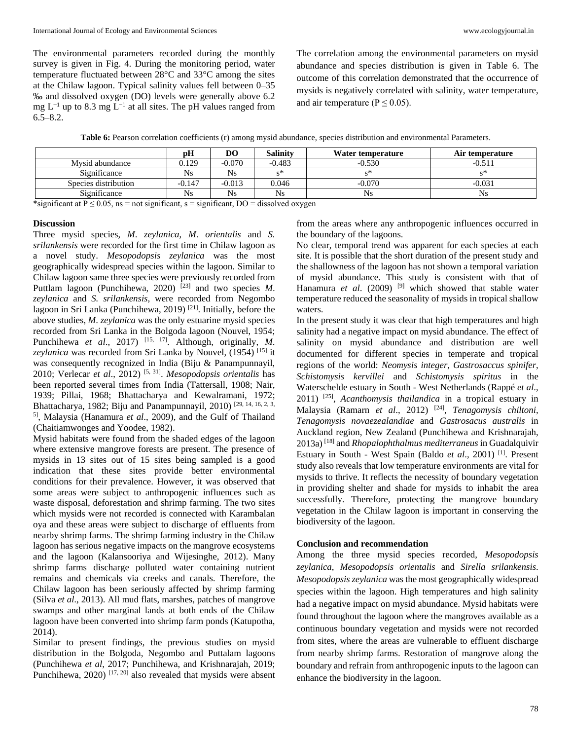The environmental parameters recorded during the monthly survey is given in Fig. 4. During the monitoring period, water temperature fluctuated between 28°C and 33°C among the sites at the Chilaw lagoon. Typical salinity values fell between 0–35 ‰ and dissolved oxygen (DO) levels were generally above 6.2 mg  $L^{-1}$  up to 8.3 mg  $L^{-1}$  at all sites. The pH values ranged from  $6.5 - 8.2.$ 

The correlation among the environmental parameters on mysid abundance and species distribution is given in Table 6. The outcome of this correlation demonstrated that the occurrence of mysids is negatively correlated with salinity, water temperature, and air temperature ( $P \le 0.05$ ).

Table 6: Pearson correlation coefficients (r) among mysid abundance, species distribution and environmental Parameters.

|                      | рH       | DO        | Salinitv  | Water temperature | Air temperature |
|----------------------|----------|-----------|-----------|-------------------|-----------------|
| Mysid abundance      | 0.129    | $-0.070$  | $-0.483$  | $-0.530$          | $-0.511$        |
| Significance         | Ns       | Ns        | ৻৽        |                   |                 |
| Species distribution | $-0.147$ | $-0.013$  | 0.046     | $-0.070$          | $-0.031$        |
| Significance         | Ns       | <b>Ns</b> | <b>Ns</b> | Ns                | Ns              |

\*significant at  $P \le 0.05$ , ns = not significant, s = significant, DO = dissolved oxygen

#### **Discussion**

Three mysid species, *M*. *zeylanica*, *M*. *orientalis* and *S. srilankensis* were recorded for the first time in Chilaw lagoon as a novel study. *Mesopodopsis zeylanica* was the most geographically widespread species within the lagoon. Similar to Chilaw lagoon same three species were previously recorded from Puttlam lagoon (Punchihewa, 2020) [23] and two species *M*. *zeylanica* and *S. srilankensis,* were recorded from Negombo lagoon in Sri Lanka (Punchihewa, 2019)<sup>[21]</sup>. Initially, before the above studies, *M*. *zeylanica* was the only estuarine mysid species recorded from Sri Lanka in the Bolgoda lagoon (Nouvel, 1954; Punchihewa *et al.*, 2017)<sup>[15, 17]</sup>. Although, originally, *M*. zeylanica was recorded from Sri Lanka by Nouvel, (1954)<sup>[15]</sup> it was consequently recognized in India (Biju & Panampunnayil, 2010; Verlecar *et al*., 2012) [5, 31] . *Mesopodopsis orientalis* has been reported several times from India (Tattersall, 1908; Nair, 1939; Pillai, 1968; Bhattacharya and Kewalramani, 1972; Bhattacharya, 1982; Biju and Panampunnayil, 2010) [29, 14, 16, 2, 3, 5] , Malaysia (Hanamura *et al*., 2009), and the Gulf of Thailand (Chaitiamwonges and Yoodee, 1982).

Mysid habitats were found from the shaded edges of the lagoon where extensive mangrove forests are present. The presence of mysids in 13 sites out of 15 sites being sampled is a good indication that these sites provide better environmental conditions for their prevalence. However, it was observed that some areas were subject to anthropogenic influences such as waste disposal, deforestation and shrimp farming. The two sites which mysids were not recorded is connected with Karambalan oya and these areas were subject to discharge of effluents from nearby shrimp farms. The shrimp farming industry in the Chilaw lagoon has serious negative impacts on the mangrove ecosystems and the lagoon (Kalansooriya and Wijesinghe, 2012). Many shrimp farms discharge polluted water containing nutrient remains and chemicals via creeks and canals. Therefore, the Chilaw lagoon has been seriously affected by shrimp farming (Silva *et al*., 2013). All mud flats, marshes, patches of mangrove swamps and other marginal lands at both ends of the Chilaw lagoon have been converted into shrimp farm ponds (Katupotha, 2014).

Similar to present findings, the previous studies on mysid distribution in the Bolgoda, Negombo and Puttalam lagoons (Punchihewa *et al*, 2017; Punchihewa, and Krishnarajah, 2019; Punchihewa,  $2020$ <sup>[17, 20]</sup> also revealed that mysids were absent from the areas where any anthropogenic influences occurred in the boundary of the lagoons.

No clear, temporal trend was apparent for each species at each site. It is possible that the short duration of the present study and the shallowness of the lagoon has not shown a temporal variation of mysid abundance. This study is consistent with that of Hanamura *et al.* (2009)<sup>[9]</sup> which showed that stable water temperature reduced the seasonality of mysids in tropical shallow waters.

In the present study it was clear that high temperatures and high salinity had a negative impact on mysid abundance. The effect of salinity on mysid abundance and distribution are well documented for different species in temperate and tropical regions of the world: *Neomysis integer, Gastrosaccus spinifer*, *Schistomysis kervillei* and *Schistomysis spiritus* in the Waterschelde estuary in South - West Netherlands (Rappé *et al*., 2011) [25] , *Acanthomysis thailandica* in a tropical estuary in Malaysia (Ramarn *et al*., 2012) [24] , *Tenagomysis chiltoni, Tenagomysis novaezealandiae* and *Gastrosacus australis* in Auckland region, New Zealand (Punchihewa and Krishnarajah, 2013a) [18] and *Rhopalophthalmus mediterraneus* in Guadalquivir Estuary in South - West Spain (Baldo et al., 2001)<sup>[1]</sup>. Present study also reveals that low temperature environments are vital for mysids to thrive. It reflects the necessity of boundary vegetation in providing shelter and shade for mysids to inhabit the area successfully. Therefore, protecting the mangrove boundary vegetation in the Chilaw lagoon is important in conserving the biodiversity of the lagoon.

#### **Conclusion and recommendation**

Among the three mysid species recorded, *Mesopodopsis zeylanica*, *Mesopodopsis orientalis* and *Sirella srilankensis*. *Mesopodopsis zeylanica* was the most geographically widespread species within the lagoon. High temperatures and high salinity had a negative impact on mysid abundance. Mysid habitats were found throughout the lagoon where the mangroves available as a continuous boundary vegetation and mysids were not recorded from sites, where the areas are vulnerable to effluent discharge from nearby shrimp farms. Restoration of mangrove along the boundary and refrain from anthropogenic inputs to the lagoon can enhance the biodiversity in the lagoon.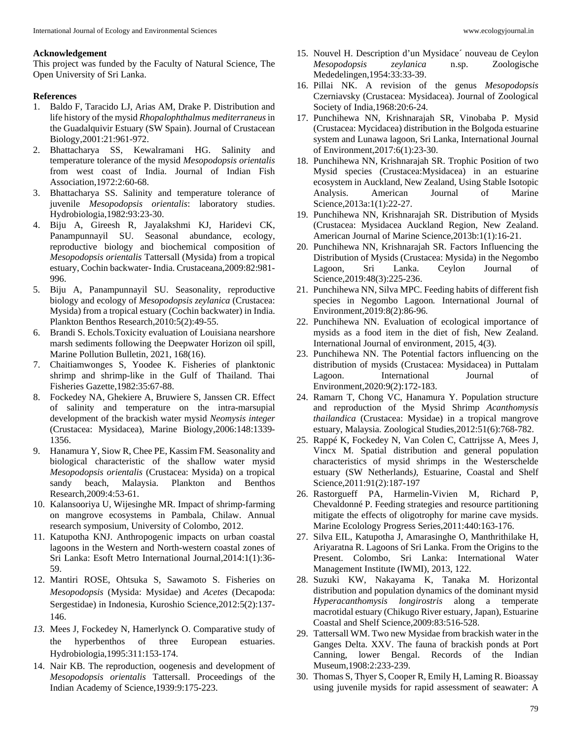#### **Acknowledgement**

This project was funded by the Faculty of Natural Science, The Open University of Sri Lanka.

## **References**

- 1. Baldo F, Taracido LJ, Arias AM, Drake P. Distribution and life history of the mysid *Rhopalophthalmus mediterraneus*in the Guadalquivir Estuary (SW Spain). Journal of Crustacean Biology,2001:21:961-972.
- 2. Bhattacharya SS, Kewalramani HG. Salinity and temperature tolerance of the mysid *Mesopodopsis orientalis*  from west coast of India. Journal of Indian Fish Association,1972:2:60-68.
- 3. Bhattacharya SS. Salinity and temperature tolerance of juvenile *Mesopodopsis orientalis*: laboratory studies. Hydrobiologia,1982:93:23-30.
- 4. Biju A, Gireesh R, Jayalakshmi KJ, Haridevi CK, Panampunnayil SU. Seasonal abundance, ecology, reproductive biology and biochemical composition of *Mesopodopsis orientalis* Tattersall (Mysida) from a tropical estuary, Cochin backwater- India. Crustaceana,2009:82:981- 996.
- 5. Biju A, Panampunnayil SU. Seasonality, reproductive biology and ecology of *Mesopodopsis zeylanica* (Crustacea: Mysida) from a tropical estuary (Cochin backwater) in India. Plankton Benthos Research*,*2010:5(2):49-55.
- 6. Brandi S. Echols.Toxicity evaluation of Louisiana nearshore marsh sediments following the Deepwater Horizon oil spill, Marine Pollution Bulletin, 2021, 168(16).
- 7. Chaitiamwonges S, Yoodee K. Fisheries of planktonic shrimp and shrimp-like in the Gulf of Thailand. Thai Fisheries Gazette,1982:35:67-88.
- 8. Fockedey NA, Ghekiere A, Bruwiere S, Janssen CR. Effect of salinity and temperature on the intra-marsupial development of the brackish water mysid *Neomysis integer* (Crustacea: Mysidacea), Marine Biology,2006:148:1339- 1356.
- 9. Hanamura Y, Siow R, Chee PE, Kassim FM. Seasonality and biological characteristic of the shallow water mysid *Mesopodopsis orientalis* (Crustacea: Mysida) on a tropical sandy beach, Malaysia. Plankton and Benthos Research,2009:4:53-61.
- 10. Kalansooriya U, Wijesinghe MR. Impact of shrimp-farming on mangrove ecosystems in Pambala, Chilaw. Annual research symposium, University of Colombo, 2012.
- 11. Katupotha KNJ. Anthropogenic impacts on urban coastal lagoons in the Western and North-western coastal zones of Sri Lanka: Esoft Metro International Journal*,*2014:1(1):36- 59.
- 12. Mantiri ROSE, Ohtsuka S, Sawamoto S. Fisheries on *Mesopodopsis* (Mysida: Mysidae) and *Acetes* (Decapoda: Sergestidae) in Indonesia, Kuroshio Science,2012:5(2):137- 146.
- *13.* Mees J, Fockedey N, Hamerlynck O. Comparative study of the hyperbenthos of three European estuaries. Hydrobiologia,1995:311:153-174.
- 14. Nair KB. The reproduction, oogenesis and development of *Mesopodopsis orientalis* Tattersall. Proceedings of the Indian Academy of Science,1939:9:175-223.
- 15. Nouvel H. Description d'un Mysidace´ nouveau de Ceylon *Mesopodopsis zeylanica* n.sp. Zoologische Mededelingen,1954:33:33-39.
- 16. Pillai NK. A revision of the genus *Mesopodopsis* Czerniavsky (Crustacea: Mysidacea). Journal of Zoological Society of India*,*1968:20:6-24.
- 17. Punchihewa NN, Krishnarajah SR, Vinobaba P. Mysid (Crustacea: Mycidacea) distribution in the Bolgoda estuarine system and Lunawa lagoon, Sri Lanka, International Journal of Environment,2017:6(1):23-30.
- 18. Punchihewa NN, Krishnarajah SR. Trophic Position of two Mysid species (Crustacea:Mysidacea) in an estuarine ecosystem in Auckland, New Zealand, Using Stable Isotopic Analysis. American Journal of Marine Science,2013a:1(1):22-27.
- 19. Punchihewa NN, Krishnarajah SR. Distribution of Mysids (Crustacea: Mysidacea Auckland Region, New Zealand. American Journal of Marine Science,2013b:1(1):16-21.
- 20. Punchihewa NN, Krishnarajah SR. Factors Influencing the Distribution of Mysids (Crustacea: Mysida) in the Negombo Lagoon, Sri Lanka. Ceylon Journal of Science*,*2019:48(3):225-236.
- 21. Punchihewa NN, Silva MPC. Feeding habits of different fish species in Negombo Lagoon*.* International Journal of Environment,2019:8(2):86-96.
- 22. Punchihewa NN. Evaluation of ecological importance of mysids as a food item in the diet of fish, New Zealand. International Journal of environment, 2015, 4(3).
- 23. Punchihewa NN. The Potential factors influencing on the distribution of mysids (Crustacea: Mysidacea) in Puttalam Lagoon. International Journal of Environment*,*2020:9(2):172-183.
- 24. Ramarn T, Chong VC, Hanamura Y. Population structure and reproduction of the Mysid Shrimp *Acanthomysis thailandica* (Crustacea: Mysidae) in a tropical mangrove estuary, Malaysia. Zoological Studies,2012:51(6):768-782.
- 25. Rappé K, Fockedey N, Van Colen C, Cattrijsse A, Mees J, Vincx M. Spatial distribution and general population characteristics of mysid shrimps in the Westerschelde estuary (SW Netherlands*),* Estuarine, Coastal and Shelf Science,2011:91(2):187-197
- 26. Rastorgueff PA, Harmelin-Vivien M, Richard P, Chevaldonné P. Feeding strategies and resource partitioning mitigate the effects of oligotrophy for marine cave mysids. Marine Ecolology Progress Series,2011:440:163-176.
- 27. Silva EIL, Katupotha J, Amarasinghe O, Manthrithilake H, Ariyaratna R. Lagoons of Sri Lanka. From the Origins to the Present. Colombo, Sri Lanka: International Water Management Institute (IWMI), 2013, 122.
- 28. Suzuki KW, Nakayama K, Tanaka M. Horizontal distribution and population dynamics of the dominant mysid *Hyperacanthomysis longirostris* along a temperate macrotidal estuary (Chikugo River estuary, Japan), Estuarine Coastal and Shelf Science,2009:83:516-528.
- 29. Tattersall WM. Two new Mysidae from brackish water in the Ganges Delta. XXV. The fauna of brackish ponds at Port Canning, lower Bengal. Records of the Indian Museum,1908:2:233-239.
- 30. Thomas S, Thyer S, Cooper R, Emily H, Laming R. Bioassay using juvenile mysids for rapid assessment of seawater: A